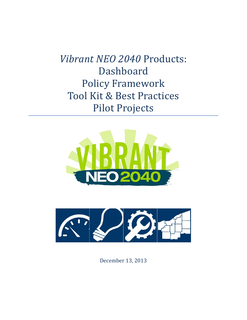*Vibrant NEO 2040* Products: Dashboard Policy Framework Tool Kit & Best Practices Pilot Projects





December 13, 2013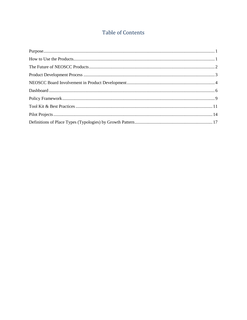# Table of Contents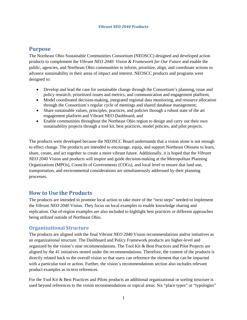## <span id="page-2-0"></span>**Purpose**

The Northeast Ohio Sustainable Communities Consortium (NEOSCC) designed and developed action products to complement the *Vibrant NEO 2040: Vision & Framework for Our Future* and enable the public, agencies, and Northeast Ohio communities to inform, prioritize, align, and coordinate actions to advance sustainability in their areas of impact and interest. NEOSCC products and programs were designed to:

- Develop and lead the case for sustainable change through the Consortium's planning, issue and policy research, prioritized issues and metrics, and communication and engagement platform;
- Model coordinated decision-making, integrated regional data monitoring, and resource allocation through the Consortium's regular cycle of meetings and shared database management;
- Share sustainable values, principles, practices, and policies through a robust state of the art engagement platform and Vibrant NEO Dashboard; and
- Enable communities throughout the Northeast Ohio region to design and carry out their own sustainability projects through a tool kit, best practices, model policies, and pilot projects.

The products were developed because the NEOSCC Board understands that a vision alone is not enough to effect change. The products are intended to encourage, equip, and support Northeast Ohioans to learn, share, create, and act together to create a more vibrant future. Additionally, it is hoped that the *Vibrant NEO 2040* Vision and products will inspire and guide decision-making at the Metropolitan Planning Organizations (MPOs), Councils of Governments (COGs), and local level to ensure that land use, transportation, and environmental considerations are simultaneously addressed by their planning processes.

## <span id="page-2-1"></span>**How to Use the Products**

The products are intended to promote local action to take more of the "next steps" needed to implement the *Vibrant NEO 2040* Vision. They focus on local examples to enable knowledge sharing and replication. Out-of-region examples are also included to highlight best practices or different approaches being utilized outside of Northeast Ohio.

### **Organizational Structure**

The products are aligned with the final *Vibrant NEO 2040* Vision recommendations and/or initiatives as an organizational structure. The Dashboard and Policy Framework products are higher-level and organized by the vision's nine recommendations. The Tool Kit & Best Practices and Pilot Projects are aligned by the 41 initiatives nested under the recommendations. Therefore, the content of the products is directly related back to the overall vision so that users can reference the element that can be impacted with a particular tool or action. Further, the vision's recommendations section also includes relevant product examples as in-text references.

For the Tool Kit & Best Practices and Pilots products an additional organizational or sorting structure is used beyond references to the vision recommendations or topical areas. Six "place types" or "typologies"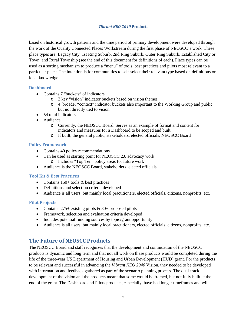based on historical growth patterns and the time period of primary development were developed through the work of the Quality Connected Places Workstream during the first phase of NEOSCC's work. These place types are: Legacy City, 1st Ring Suburb, 2nd Ring Suburb, Outer Ring Suburb, Established City or Town, and Rural Township (see the end of this document for definitions of each). Place types can be used as a sorting mechanism to produce a "menu" of tools, best practices and pilots most relevant to a particular place. The intention is for communities to self-select their relevant type based on definitions or local knowledge.

### **Dashboard**

- Contains 7 "buckets" of indicators
	- o 3 key "vision" indicator buckets based on vision themes
	- o 4 broader "context" indicator buckets also important to the Working Group and public, but not directly tied to vision
- 54 total indicators
- Audience
	- o Currently, the NEOSCC Board. Serves as an example of format and content for indicators and measures for a Dashboard to be scoped and built
	- o If built, the general public, stakeholders, elected officials, NEOSCC Board

#### **Policy Framework**

- Contains 40 policy recommendations
- Can be used as starting point for NEOSCC 2.0 advocacy work o Includes "Top Ten" policy areas for future work
- Audience is the NEOSCC Board, stakeholders, elected officials

#### **Tool Kit & Best Practices**

- Contains 150+ tools & best practices
- Definitions and selection criteria developed
- Audience is all users, but mainly local practitioners, elected officials, citizens, nonprofits, etc.

### **Pilot Projects**

- Contains  $275+$  existing pilots &  $30+$  proposed pilots
- Framework, selection and evaluation criteria developed
- Includes potential funding sources by topic/grant opportunity
- <span id="page-3-0"></span>• Audience is all users, but mainly local practitioners, elected officials, citizens, nonprofits, etc.

## **The Future of NEOSCC Products**

The NEOSCC Board and staff recognizes that the development and continuation of the NEOSCC products is dynamic and long term and that not all work on these products would be completed during the life of the three-year US Department of Housing and Urban Development (HUD) grant. For the products to be relevant and successful in advancing the *Vibrant NEO 2040* Vision, they needed to be developed with information and feedback gathered as part of the scenario planning process. The dual-track development of the vision and the products meant that some would be framed, but not fully built at the end of the grant. The Dashboard and Pilots products, especially, have had longer timeframes and will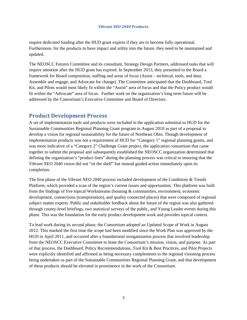require dedicated funding after the HUD grant expires if they are to become fully operational. Furthermore, for the products to have impact and utility into the future, they need to be maintained and updated.

The NEOSCC Futures Committee and its consultant, Strategy Design Partners, addressed tasks that will require attention after the HUD grant has expired. In September 2013, they presented to the Board a framework for Board composition, staffing and areas of focus (Assist – technical, tools, and data; Assemble and engage; and Advocate for change). The Committee anticipated that the Dashboard, Tool Kit, and Pilots would most likely fit within the "Assist" area of focus and that the Policy product would fit within the "Advocate" area of focus. Further work on the organization's long term future will be addressed by the Consortium's Executive Committee and Board of Directors.

## <span id="page-4-0"></span>**Product Development Process**

A set of implementation tools and products were included in the application submittal to HUD for the Sustainable Communities Regional Planning Grant program in August 2010 as part of a proposal to develop a vision for regional sustainability for the future of Northeast Ohio. Though development of implementation products was not a requirement of HUD for "Category 1" regional planning grants, and was more indicative of a "Category 2" Challenge Grant project, the application consortium that came together to submit the proposal and subsequently established the NEOSCC organization determined that defining the organization's "product lines" during the planning process was critical to ensuring that the *Vibrant NEO* 2040 vision did not "sit the shelf" but instead guided action immediately upon its completion.

The first phase of the *Vibrant NEO 2040* process included development of the Conditions & Trends Platform, which provided a scan of the region's current issues and opportunities. This platform was built from the findings of five topical Workstreams (housing & communities, environment, economic development, connections (transportation), and quality connected places) that were composed of regional subject matter experts. Public and stakeholder feedback about the future of the region was also gathered through county-level briefings, two statistical surveys of the public, and Young Leader events during this phase. This was the foundation for the early product development work and provides topical context.

To lead work during its second phase, the Consortium adopted an Updated Scope of Work in August 2012. This marked the first time the scope had been modified since the Work Plan was approved by the HUD in April 2011, and occurred after a foundational reorganization process that involved leadership from the NEOSCC Executive Committee to hone the Consortium's mission, vision, and purpose. As part of that process, the Dashboard, Policy Recommendations, Tool Kit & Best Practices, and Pilot Projects were explicitly identified and affirmed as being necessary complements to the regional visioning process being undertaken as part of the Sustainable Communities Regional Planning Grant, and that development of these products should be elevated in prominence in the work of the Consortium.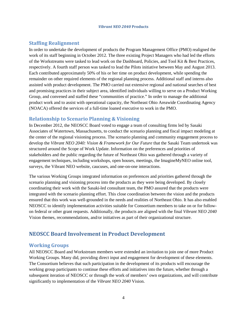### **Staffing Realignment**

In order to undertake the development of products the Program Management Office (PMO) realigned the work of its staff beginning in October 2012. The three existing Project Managers who had led the efforts of the Workstreams were tasked to lead work on the Dashboard, Policies, and Tool Kit & Best Practices, respectively. A fourth staff person was tasked to lead the Pilots initiative between May and August 2013. Each contributed approximately 50% of his or her time on product development, while spending the remainder on other required elements of the regional planning process. Additional staff and interns also assisted with product development. The PMO carried out extensive regional and national searches of best and promising practices in their subject area, identified individuals willing to serve on a Product Working Group, and convened and staffed these "communities of practice." In order to manage the additional product work and to assist with operational capacity, the Northeast Ohio Areawide Coordinating Agency (NOACA) offered the services of a full-time loaned executive to work in the PMO.

### **Relationship to Scenario Planning & Visioning**

In December 2012, the NEOSCC Board voted to engage a team of consulting firms led by Sasaki Associates of Watertown, Massachusetts, to conduct the scenario planning and fiscal impact modeling at the center of the regional visioning process. The scenario planning and community engagement process to develop the *Vibrant NEO 2040: Vision & Framework for Our Future* that the Sasaki Team undertook was structured around the Scope of Work Update. Information on the preferences and priorities of stakeholders and the public regarding the future of Northeast Ohio was gathered through a variety of engagement techniques, including workshops, open houses, meetings, the ImagineMyNEO online tool, surveys, the Vibrant NEO website, caucuses, and one-on-one interactions.

The various Working Groups integrated information on preferences and priorities gathered through the scenario planning and visioning process into the products as they were being developed. By closely coordinating their work with the Sasaki-led consultant team, the PMO assured that the products were integrated with the scenario planning effort. This close coordination between the vision and the products ensured that this work was well-grounded in the needs and realities of Northeast Ohio. It has also enabled NEOSCC to identify implementation activities suitable for Consortium members to take on or for followon federal or other grant requests. Additionally, the products are aligned with the final *Vibrant NEO 2040* Vision themes, recommendations, and/or initiatives as part of their organizational structure.

## <span id="page-5-0"></span>**NEOSCC Board Involvement in Product Development**

### **Working Groups**

All NEOSCC Board and Workstream members were extended an invitation to join one of more Product Working Groups. Many did, providing direct input and engagement for development of these elements. The Consortium believes that such participation in the development of its products will encourage the working group participants to continue these efforts and initiatives into the future, whether through a subsequent iteration of NEOSCC or through the work of members' own organizations, and will contribute significantly to implementation of the *Vibrant NEO 2040* Vision.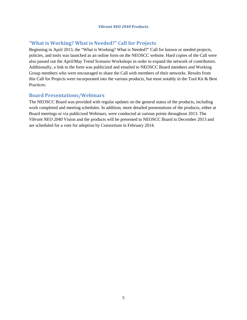### **"What is Working? What is Needed?" Call for Projects**

Beginning in April 2013, the "What is Working? What is Needed?" Call for known or needed projects, policies, and tools was launched as an online form on the NEOSCC website. Hard copies of the Call were also passed out the April/May Trend Scenario Workshops in order to expand the network of contributors. Additionally, a link to the form was publicized and emailed to NEOSCC Board members and Working Group members who were encouraged to share the Call with members of their networks. Results from this Call for Projects were incorporated into the various products, but most notably in the Tool Kit & Best Practices.

### **Board Presentations/Webinars**

The NEOSCC Board was provided with regular updates on the general status of the products, including work completed and meeting schedules. In addition, more detailed presentations of the products, either at Board meetings or via publicized Webinars, were conducted at various points throughout 2013. The *Vibrant NEO 2040* Vision and the products will be presented to NEOSCC Board in December 2013 and are scheduled for a vote for adoption by Consortium in February 2014.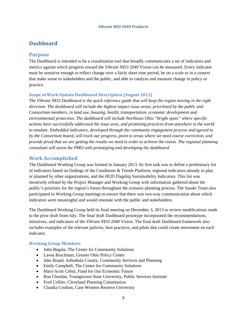## <span id="page-7-0"></span>**Dashboard**

### **Purpose**

The Dashboard is intended to be a visualization tool that broadly communicates a set of indicators and metrics against which progress toward the *Vibrant NEO 2040* Vision can be measured. Every indicator must be sensitive enough to reflect change over a fairly short time period, be on a scale or in a context that make sense to stakeholders and the public, and able to catalyze and measure change in policy or practice.

### **Scope of Work Update Dashboard Description (August 2012)**

*The Vibrant NEO Dashboard is the quick reference guide that will keep the region moving in the right direction. The dashboard will include the highest impact issue areas, prioritized by the public and Consortium members, in land use, housing, health, transportation, economic development and environmental protection. The dashboard will include Northeast Ohio "bright spots" where specific actions have successfully addressed the issue area, and promising practices from anywhere in the world to emulate. Embedded indicators, developed through the community engagement process and agreed to by the Consortium board, will track our progress, point to areas where we need course correction, and provide proof that we are getting the results we need in order to achieve the vision. The regional planning consultant will assist the PMO with prototyping and developing the dashboard.*

### **Work Accomplished**

The Dashboard Working Group was formed in January 2013. Its first task was to define a preliminary list of indicators based on findings of the Conditions & Trends Platform, regional indicators already in play or planned by other organizations, and the HUD Flagship Sustainability Indicators. This list was iteratively refined by the Project Manager and Working Group with information gathered about the public's priorities for the region's future throughout the scenario planning process. The Sasaki Team also participated in Working Group meetings to ensure that there was two-way communication about which indicators were meaningful and would resonate with the public and stakeholders.

The Dashboard Working Group held its final meeting on December 3, 2013 to review modifications made to the prior draft from July. The final draft Dashboard prototype incorporated the recommendations, initiatives, and indicators of the *Vibrant NEO 2040* Vision. The final draft Dashboard framework also includes examples of the relevant policies, best practices, and pilots that could create movement on each indicator.

### **Working Group Members**

- John Begala, The Center for Community Solutions
- Lavea Brachman, Greater Ohio Policy Center
- Jake Brand, Ashtabula County, Community Services and Planning
- Emily Campbell, The Center for Community Solutions
- Mary-Scott Cebul, Fund for Our Economic Future
- Ron Chordas, Youngstown State University, Public Services Institute
- Fred Collier, Cleveland Planning Commission
- Claudia Coulton, Case Western Reserve University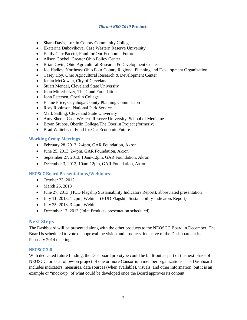- Shara Davis, Lorain County Community College
- Ekaterina Dubovikova, Case Western Reserve University
- Emily Garr Pacetti, Fund for Our Economic Future
- Alison Goebel, Greater Ohio Policy Center
- Brian Gwin, Ohio Agricultural Research & Development Center
- Joe Hadley, Northeast Ohio Four County Regional Planning and Development Organization
- Casey Hoy, Ohio Agricultural Research & Development Center
- Jenita McGowan, City of Cleveland
- Stuart Mendel, Cleveland State University
- John Mitterholzer, The Gund Foundation
- John Petersen, Oberlin College
- Elaine Price, Cuyahoga County Planning Commission
- Rory Robinson, National Park Service
- Mark Salling, Cleveland State University
- Amy Sheon, Case Western Reserve University, School of Medicine
- Bryan Stubbs, Oberlin College/The Oberlin Project (formerly)
- Brad Whitehead, Fund for Our Economic Future

#### **Working Group Meetings**

- February 28, 2013, 2-4pm, GAR Foundation, Akron
- June 25, 2013, 2-4pm, GAR Foundation, Akron
- September 27, 2013, 10am-12pm, GAR Foundation, Akron
- December 3, 2013, 10am-12pm, GAR Foundation, Akron

### **NEOSCC Board Presentations/Webinars**

- October 23, 2012
- March 26, 2013
- June 27, 2013 (HUD Flagship Sustainability Indicators Report); abbreviated presentation
- July 11, 2013, 1-2pm, Webinar (HUD Flagship Sustainability Indicators Report)
- $\bullet$  July 25, 2013, 3-4pm, Webinar
- December 17, 2013 (Joint Products presentation scheduled)

### **Next Steps**

The Dashboard will be presented along with the other products to the NEOSCC Board in December. The Board is scheduled to vote on approval the vision and products, inclusive of the Dashboard, at its February 2014 meeting.

#### **NEOSCC 2.0**

With dedicated future funding, the Dashboard prototype could be built-out as part of the next phase of NEOSCC, or as a follow-on project of one or more Consortium member organizations. The Dashboard includes indicators, measures, data sources (when available), visuals, and other information, but it is an example or "mock-up" of what could be developed once the Board approves its content.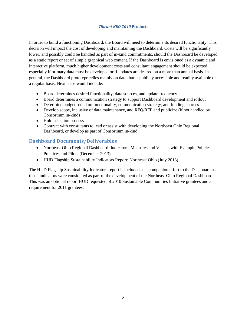In order to build a functioning Dashboard, the Board will need to determine its desired functionality. This decision will impact the cost of developing and maintaining the Dashboard. Costs will be significantly lower, and possibly could be handled as part of in-kind commitments, should the Dashboard be developed as a static report or set of simple graphical web content. If the Dashboard is envisioned as a dynamic and interactive platform, much higher development costs and consultant engagement should be expected, especially if primary data must be developed or if updates are desired on a more than annual basis. In general, the Dashboard prototype relies mainly on data that is publicly accessible and readily available on a regular basis. Next steps would include:

- Board determines desired functionality, data sources, and update frequency
- Board determines a communication strategy to support Dashboard development and rollout
- Determine budget based on functionality, communication strategy, and funding sources
- Develop scope, inclusive of data maintenance, and RFQ/RFP and publicize (if not handled by Consortium in-kind)
- Hold selection process
- Contract with consultants to lead or assist with developing the Northeast Ohio Regional Dashboard, or develop as part of Consortium in-kind

### **Dashboard Documents/Deliverables**

- Northeast Ohio Regional Dashboard: Indicators, Measures and Visuals with Example Policies, Practices and Pilots (December 2013)
- HUD Flagship Sustainability Indicators Report: Northeast Ohio (July 2013)

The HUD Flagship Sustainability Indicators report is included as a companion effort to the Dashboard as those indicators were considered as part of the development of the Northeast Ohio Regional Dashboard. This was an optional report HUD requested of 2010 Sustainable Communities Initiative grantees and a requirement for 2011 grantees.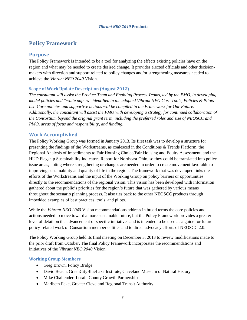## <span id="page-10-0"></span>**Policy Framework**

### **Purpose**

The Policy Framework is intended to be a tool for analyzing the effects existing policies have on the region and what may be needed to create desired change. It provides elected officials and other decisionmakers with direction and support related to policy changes and/or strengthening measures needed to achieve the *Vibrant NEO 2040* Vision.

### **Scope of Work Update Description (August 2012)**

*The consultant will assist the Product Team and Enabling Process Teams, led by the PMO, in developing model policies and "white papers" identified in the adopted Vibrant NEO Core Tools, Policies & Pilots list. Core policies and supportive actions will be compiled in the Framework for Our Future. Additionally, the consultant will assist the PMO with developing a strategy for continued collaboration of the Consortium beyond the original grant term, including the preferred roles and size of NEOSCC and PMO, areas of focus and responsibility, and funding.*

### **Work Accomplished**

The Policy Working Group was formed in January 2013. Its first task was to develop a structure for presenting the findings of the Workstreams, as coalesced in the Conditions & Trends Platform, the Regional Analysis of Impediments to Fair Housing Choice/Fair Housing and Equity Assessment, and the HUD Flagship Sustainability Indicators Report for Northeast Ohio, so they could be translated into policy issue areas, noting where strengthening or changes are needed in order to create movement favorable to improving sustainability and quality of life in the region. The framework that was developed links the efforts of the Workstreams and the input of the Working Group on policy barriers or opportunities directly to the recommendations of the regional vision. This vision has been developed with information gathered about the public's priorities for the region's future that was gathered by various means throughout the scenario planning process. It also ties back to the other NEOSCC products through imbedded examples of best practices, tools, and pilots.

While the *Vibrant NEO 2040* Vision recommendations address in broad terms the core policies and actions needed to move toward a more sustainable future, but the Policy Framework provides a greater level of detail on the advancement of specific initiatives and is intended to be used as a guide for future policy-related work of Consortium member entities and to direct advocacy efforts of NEOSCC 2.0.

The Policy Working Group held its final meeting on December 3, 2013 to review modifications made to the prior draft from October. The final Policy Framework incorporates the recommendations and initiatives of the *Vibrant NEO 2040* Vision.

### **Working Group Members**

- Greg Brown, Policy Bridge
- David Beach, GreenCityBlueLake Institute, Cleveland Museum of Natural History
- Mike Challender, Lorain County Growth Partnership
- Maribeth Feke, Greater Cleveland Regional Transit Authority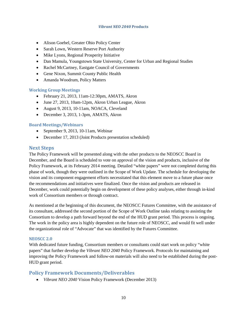- Alison Goebel, Greater Ohio Policy Center
- Sarah Lown, Western Reserve Port Authority
- Mike Lyons, Regional Prosperity Initiative
- Dan Mamula, Youngstown State University, Center for Urban and Regional Studies
- Rachel McCartney, Eastgate Council of Governments
- Gene Nixon, Summit County Public Health
- Amanda Woodrum, Policy Matters

### **Working Group Meetings**

- February 21, 2013, 11am-12:30pm, AMATS, Akron
- June 27, 2013, 10am-12pm, Akron Urban League, Akron
- August 9, 2013, 10-11am, NOACA, Cleveland
- December 3, 2013, 1-3pm, AMATS, Akron

### **Board Meetings/Webinars**

- September 9, 2013, 10-11am, Webinar
- December 17, 2013 (Joint Products presentation scheduled)

### **Next Steps**

The Policy Framework will be presented along with the other products to the NEOSCC Board in December, and the Board is scheduled to vote on approval of the vision and products, inclusive of the Policy Framework, at its February 2014 meeting. Detailed "white papers" were not completed during this phase of work, though they were outlined in the Scope of Work Update. The schedule for developing the vision and its component engagement efforts necessitated that this element move to a future phase once the recommendations and initiatives were finalized. Once the vision and products are released in December, work could potentially begin on development of these policy analyses, either through in-kind work of Consortium members or through contract.

As mentioned at the beginning of this document, the NEOSCC Futures Committee, with the assistance of its consultant, addressed the second portion of the Scope of Work Outline tasks relating to assisting the Consortium to develop a path forward beyond the end of the HUD grant period. This process is ongoing. The work in the policy area is highly dependent on the future role of NEOSCC, and would fit well under the organizational role of "Advocate" that was identified by the Futures Committee.

### **NEOSCC 2.0**

With dedicated future funding, Consortium members or consultants could start work on policy "white papers" that further develop the *Vibrant NEO 2040* Policy Framework. Protocols for maintaining and improving the Policy Framework and follow-on materials will also need to be established during the post-HUD grant period.

### **Policy Framework Documents/Deliverables**

• *Vibrant NEO 2040* Vision Policy Framework (December 2013)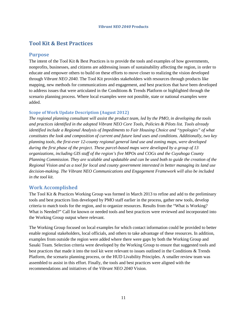## <span id="page-12-0"></span>**Tool Kit & Best Practices**

### **Purpose**

The intent of the Tool Kit & Best Practices is to provide the tools and examples of how governments, nonprofits, businesses, and citizens are addressing issues of sustainability affecting the region, in order to educate and empower others to build on these efforts to move closer to realizing the vision developed through *Vibrant NEO 2040*. The Tool Kit provides stakeholders with resources through products like mapping, new methods for communications and engagement, and best practices that have been developed to address issues that were articulated in the Conditions & Trends Platform or highlighted through the scenario planning process. Where local examples were not possible, state or national examples were added.

### **Scope of Work Update Description (August 2012)**

*The regional planning consultant will assist the product team, led by the PMO, in developing the tools and practices identified in the adopted Vibrant NEO Core Tools, Policies & Pilots list. Tools already identified include a Regional Analysis of Impediments to Fair Housing Choice and "typologies" of what constitutes the look and composition of current and future land uses and conditions. Additionally, two key planning tools, the first-ever 12-county regional general land use and zoning maps, were developed during the first phase of the project. These parcel-based maps were developed by a group of 13 organizations, including GIS staff of the region's five MPOs and COGs and the Cuyahoga County Planning Commission. They are scalable and updatable and can be used both to guide the creation of the Regional Vision and as a tool for local and county government interested in better managing its land use decision-making. The Vibrant NEO Communications and Engagement Framework will also be included in the tool kit.*

### **Work Accomplished**

The Tool Kit & Practices Working Group was formed in March 2013 to refine and add to the preliminary tools and best practices lists developed by PMO staff earlier in the process, gather new tools, develop criteria to match tools for the region, and to organize resources. Results from the "What is Working? What is Needed?" Call for known or needed tools and best practices were reviewed and incorporated into the Working Group output where relevant.

The Working Group focused on local examples for which contact information could be provided to better enable regional stakeholders, local officials, and others to take advantage of these resources. In addition, examples from outside the region were added where there were gaps by both the Working Group and Sasaki Team. Selection criteria were developed by the Working Group to ensure that suggested tools and best practices that made it into the tool kit were relevant to issues outlined in the Conditions & Trends Platform, the scenario planning process, or the HUD Livability Principles. A smaller review team was assembled to assist in this effort. Finally, the tools and best practices were aligned with the recommendations and initiatives of the *Vibrant NEO 2040* Vision.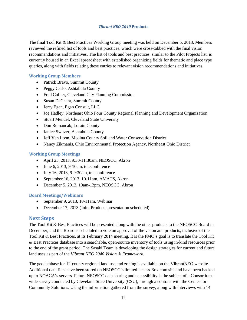The final Tool Kit & Best Practices Working Group meeting was held on December 5, 2013. Members reviewed the refined list of tools and best practices, which were cross-tabbed with the final vision recommendations and initiatives. The list of tools and best practices, similar to the Pilot Projects list, is currently housed in an Excel spreadsheet with established organizing fields for thematic and place type queries, along with fields relating these entries to relevant vision recommendations and initiatives.

### **Working Group Members**

- Patrick Bravo, Summit County
- Peggy Carlo, Ashtabula County
- Fred Collier, Cleveland City Planning Commission
- Susan DeChant, Summit County
- Jerry Egan, Egan Consult, LLC
- Joe Hadley, Northeast Ohio Four County Regional Planning and Development Organization
- Stuart Mendel, Cleveland State University
- Don Romancak, Lorain County
- Janice Switzer, Ashtabula County
- Jeff Van Loon, Medina County Soil and Water Conservation District
- Nancy Zikmanis, Ohio Environmental Protection Agency, Northeast Ohio District

### **Working Group Meetings**

- April 25, 2013, 9:30-11:30am, NEOSCC, Akron
- June 6, 2013, 9-10am, teleconference
- July 16, 2013, 9-9:30am, teleconference
- September 16, 2013, 10-11am, AMATS, Akron
- December 5, 2013, 10am-12pm, NEOSCC, Akron

### **Board Meetings/Webinars**

- September 9, 2013, 10-11am, Webinar
- December 17, 2013 (Joint Products presentation scheduled)

### **Next Steps**

The Tool Kit & Best Practices will be presented along with the other products to the NEOSCC Board in December, and the Board is scheduled to vote on approval of the vision and products, inclusive of the Tool Kit & Best Practices, at its February 2014 meeting. It is the PMO's goal is to translate the Tool Kit & Best Practices database into a searchable, open-source inventory of tools using in-kind resources prior to the end of the grant period. The Sasaki Team is developing the design strategies for current and future land uses as part of the *Vibrant NEO 2040 Vision & Framework.*

The geodatabase for 12-county regional land use and zoning is available on the VibrantNEO website. Additional data files have been stored on NEOSCC's limited-access Box.com site and have been backed up to NOACA's servers. Future NEOSCC data sharing and accessibility is the subject of a Consortiumwide survey conducted by Cleveland State University (CSU), through a contract with the Center for Community Solutions. Using the information gathered from the survey, along with interviews with 14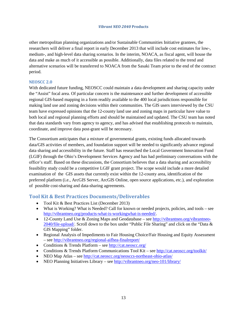other metropolitan planning organizations and/or Sustainable Communities Initiative grantees, the researchers will deliver a final report in early December 2013 that will include cost estimates for low-, medium-, and high-level data sharing scenarios. In the interim, NOACA, as fiscal agent, will house the data and make as much of it accessible as possible. Additionally, data files related to the trend and alternative scenarios will be transferred to NOACA from the Sasaki Team prior to the end of the contract period.

#### **NEOSCC 2.0**

With dedicated future funding, NEOSCC could maintain a data development and sharing capacity under the "Assist" focal area. Of particular concern is the maintenance and further development of accessible regional GIS-based mapping in a form readily available to the 400 local jurisdictions responsible for making land use and zoning decisions within their communities. The GIS users interviewed by the CSU team have expressed opinions that the 12-county land use and zoning maps in particular have value to both local and regional planning efforts and should be maintained and updated. The CSU team has noted that data standards vary from agency to agency, and has advised that establishing protocols to maintain, coordinate, and improve data post-grant will be necessary.

The Consortium anticipates that a mixture of governmental grants, existing funds allocated towards data/GIS activities of members, and foundation support will be needed to significantly advance regional data sharing and accessibility in the future. Staff has researched the Local Government Innovation Fund (LGIF) through the Ohio's Development Services Agency and has had preliminary conversations with the office's staff. Based on these discussions, the Consortium believes that a data sharing and accessibility feasibility study could be a competitive LGIF grant project. The scope would include a more detailed examination of the GIS assets that currently exist within the 12-county area, identification of the preferred platform (i.e., ArcGIS Server, ArcGIS Online, open source applications, etc.), and exploration of possible cost-sharing and data-sharing agreements.

### **Tool Kit & Best Practices Documents/Deliverables**

- Tool Kit & Best Practices List (December 2013)
- What is Working? What is Needed? Call for known or needed projects, policies, and tools see [http://vibrantneo.org/products-what-is-workingwhat-is-needed/.](http://vibrantneo.org/products-what-is-workingwhat-is-needed/)
- 12-County Land Use & Zoning Maps and Geodatabase see [http://vibrantneo.org/vibrantneo-](http://vibrantneo.org/vibrantneo-2040/file-upload/)[2040/file-upload/.](http://vibrantneo.org/vibrantneo-2040/file-upload/) Scroll down to the box under "Public File Sharing" and click on the "Data & GIS Mapping" folder.
- Regional Analysis of Impediments to Fair Housing Choice/Fair Housing and Equity Assessment – see<http://vibrantneo.org/regional-aifhea-finalreport/>
- Conditions & Trends Platform see<http://cat.neoscc.org/>
- Conditions & Trends Platform Communications Tool Kit see <http://cat.neoscc.org/toolkit/>
- NEO Map Atlas see<http://cat.neoscc.org/neosccs-northeast-ohio-atlas/>
- NEO Planning Initiatives Library se[e http://vibrantneo.org/neo-101/library/](http://vibrantneo.org/neo-101/library/)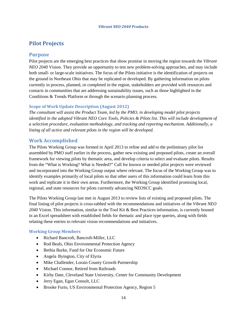## <span id="page-15-0"></span>**Pilot Projects**

### **Purpose**

Pilot projects are the emerging best practices that show promise in moving the region towards the *Vibrant NEO 2040* Vision. They provide an opportunity to test new problem-solving approaches, and may include both small- or large-scale initiatives. The focus of the Pilots initiative is the identification of projects on the ground in Northeast Ohio that may be replicated or developed. By gathering information on pilots currently in process, planned, or completed in the region, stakeholders are provided with resources and contacts in communities that are addressing sustainability issues, such as those highlighted in the Conditions & Trends Platform or through the scenario planning process.

### **Scope of Work Update Description (August 2012)**

*The consultant will assist the Product Team, led by the PMO, in developing model pilot projects identified in the adopted Vibrant NEO Core Tools, Policies & Pilots list. This will include development of a selection procedure, evaluation methodology, and tracking and reporting mechanism. Additionally, a listing of all active and relevant pilots in the region will be developed.*

### **Work Accomplished**

The Pilots Working Group was formed in April 2013 to refine and add to the preliminary pilot list assembled by PMO staff earlier in the process, gather new existing and proposed pilots, create an overall framework for viewing pilots by thematic area, and develop criteria to select and evaluate pilots. Results from the "What is Working? What is Needed?" Call for known or needed pilot projects were reviewed and incorporated into the Working Group output where relevant. The focus of the Working Group was to identify examples primarily of local pilots so that other users of this information could learn from this work and replicate it in their own areas. Furthermore, the Working Group identified promising local, regional, and state resources for pilots currently advancing NEOSCC goals.

The Pilots Working Group last met in August 2013 to review lists of existing and proposed pilots. The final listing of pilot projects is cross-tabbed with the recommendations and initiatives of the *Vibrant NEO 2040* Vision. This information, similar to the Tool Kit & Best Practices information, is currently housed in an Excel spreadsheet with established fields for thematic and place type queries, along with fields relating these entries to relevant vision recommendations and initiatives.

### **Working Group Members**

- Richard Bancroft, Bancroft-Miller, LLC
- Rod Beals, Ohio Environmental Protection Agency
- Bethia Burke, Fund for Our Economic Future
- Angela Byington, City of Elyria
- Mike Challender, Lorain County Growth Partnership
- Michael Connor, Retired from Railroads
- Kirby Date, Cleveland State University, Center for Community Development
- Jerry Egan, Egan Consult, LLC
- Brooke Furio, US Environmental Protection Agency, Region 5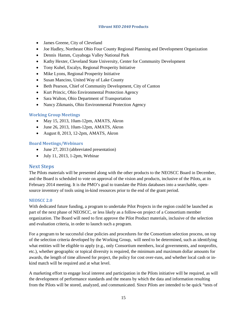- James Greene, City of Cleveland
- Joe Hadley, Northeast Ohio Four County Regional Planning and Development Organization
- Dennis Hamm, Cuyahoga Valley National Park
- Kathy Hexter, Cleveland State University, Center for Community Development
- Tony Kuhel, Escalys, Regional Prosperity Initiative
- Mike Lyons, Regional Prosperity Initiative
- Susan Mancino, United Way of Lake County
- Beth Pearson, Chief of Community Development, City of Canton
- Kurt Princic, Ohio Environmental Protection Agency
- Sara Walton, Ohio Department of Transportation
- Nancy Zikmanis, Ohio Environmental Protection Agency

### **Working Group Meetings**

- May 15, 2013, 10am-12pm, AMATS, Akron
- June 26, 2013, 10am-12pm, AMATS, Akron
- August 8, 2013, 12-2pm, AMATS, Akron

### **Board Meetings/Webinars**

- June 27, 2013 (abbreviated presentation)
- July 11, 2013, 1-2pm, Webinar

### **Next Steps**

The Pilots materials will be presented along with the other products to the NEOSCC Board in December, and the Board is scheduled to vote on approval of the vision and products, inclusive of the Pilots, at its February 2014 meeting. It is the PMO's goal to translate the Pilots databases into a searchable, opensource inventory of tools using in-kind resources prior to the end of the grant period.

### **NEOSCC 2.0**

With dedicated future funding, a program to undertake Pilot Projects in the region could be launched as part of the next phase of NEOSCC, or less likely as a follow-on project of a Consortium member organization. The Board will need to first approve the Pilot Product materials, inclusive of the selection and evaluation criteria, in order to launch such a program.

For a program to be successful clear policies and procedures for the Consortium selection process, on top of the selection criteria developed by the Working Group, will need to be determined, such as identifying what entities will be eligible to apply (e.g., only Consortium members, local governments, and nonprofits, etc.), whether geographic or topical diversity is required, the minimum and maximum dollar amounts for awards, the length of time allowed for project, the policy for cost over-runs, and whether local cash or inkind match will be required and at what level.

A marketing effort to engage local interest and participation in the Pilots initiative will be required, as will the development of performance standards and the means by which the data and information resulting from the Pilots will be stored, analyzed, and communicated. Since Pilots are intended to be quick "tests of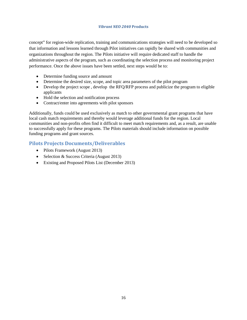concept" for region-wide replication, training and communications strategies will need to be developed so that information and lessons learned through Pilot initiatives can rapidly be shared with communities and organizations throughout the region. The Pilots initiative will require dedicated staff to handle the administrative aspects of the program, such as coordinating the selection process and monitoring project performance. Once the above issues have been settled, next steps would be to:

- Determine funding source and amount
- Determine the desired size, scope, and topic area parameters of the pilot program
- Develop the project scope, develop the RFQ/RFP process and publicize the program to eligible applicants
- Hold the selection and notification process
- Contract/enter into agreements with pilot sponsors

Additionally, funds could be used exclusively as match to other governmental grant programs that have local cash match requirements and thereby would leverage additional funds for the region. Local communities and non-profits often find it difficult to meet match requirements and, as a result, are unable to successfully apply for these programs. The Pilots materials should include information on possible funding programs and grant sources.

### **Pilots Projects Documents/Deliverables**

- Pilots Framework (August 2013)
- Selection & Success Criteria (August 2013)
- Existing and Proposed Pilots List (December 2013)